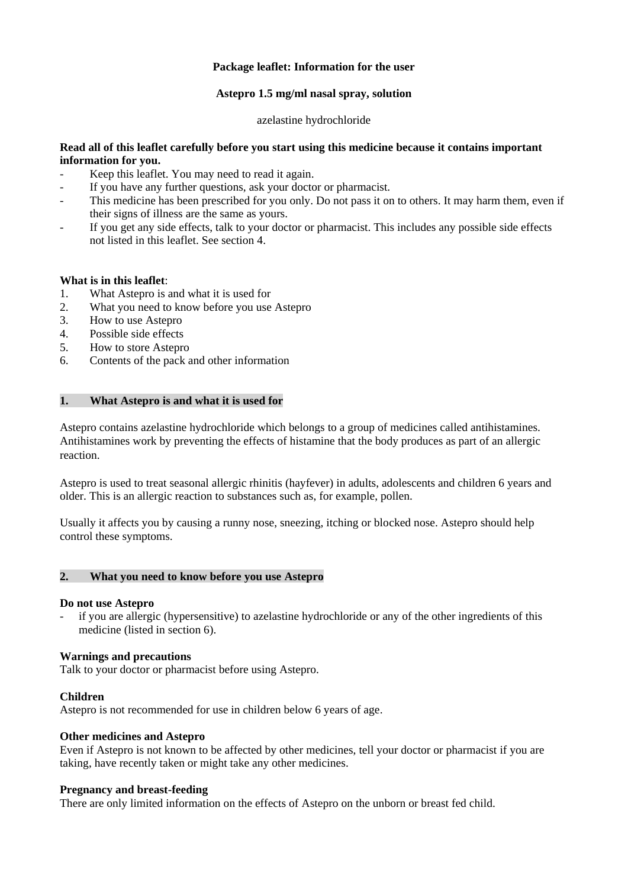## **Package leaflet: Information for the user**

### **Astepro 1.5 mg/ml nasal spray, solution**

azelastine hydrochloride

## **Read all of this leaflet carefully before you start using this medicine because it contains important information for you.**

- Keep this leaflet. You may need to read it again.
- If you have any further questions, ask your doctor or pharmacist.
- This medicine has been prescribed for you only. Do not pass it on to others. It may harm them, even if their signs of illness are the same as yours.
- If you get any side effects, talk to your doctor or pharmacist. This includes any possible side effects not listed in this leaflet. See section 4.

## **What is in this leaflet**:

- 1. What Astepro is and what it is used for
- 2. What you need to know before you use Astepro
- 3. How to use Astepro
- 4. Possible side effects
- 5. How to store Astepro
- 6. Contents of the pack and other information

## **1. What Astepro is and what it is used for**

Astepro contains azelastine hydrochloride which belongs to a group of medicines called antihistamines. Antihistamines work by preventing the effects of histamine that the body produces as part of an allergic reaction.

Astepro is used to treat seasonal allergic rhinitis (hayfever) in adults, adolescents and children 6 years and older. This is an allergic reaction to substances such as, for example, pollen.

Usually it affects you by causing a runny nose, sneezing, itching or blocked nose. Astepro should help control these symptoms.

# **2. What you need to know before you use Astepro**

### **Do not use Astepro**

if you are allergic (hypersensitive) to azelastine hydrochloride or any of the other ingredients of this medicine (listed in section 6).

## **Warnings and precautions**

Talk to your doctor or pharmacist before using Astepro.

### **Children**

Astepro is not recommended for use in children below 6 years of age.

### **Other medicines and Astepro**

Even if Astepro is not known to be affected by other medicines, tell your doctor or pharmacist if you are taking, have recently taken or might take any other medicines.

### **Pregnancy and breast-feeding**

There are only limited information on the effects of Astepro on the unborn or breast fed child.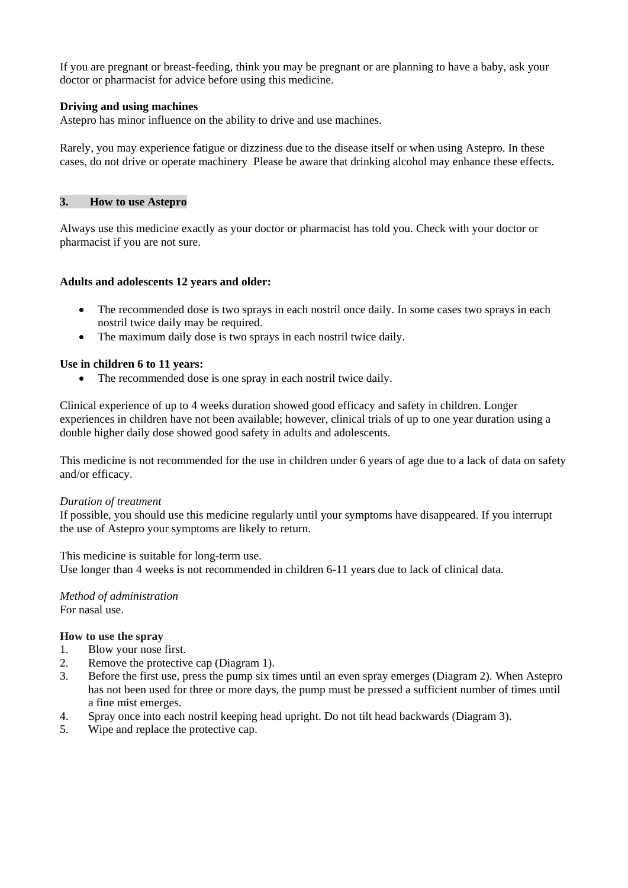If you are pregnant or breast-feeding, think you may be pregnant or are planning to have a baby, ask your doctor or pharmacist for advice before using this medicine.

### **Driving and using machines**

Astepro has minor influence on the ability to drive and use machines.

Rarely, you may experience fatigue or dizziness due to the disease itself or when using Astepro. In these cases, do not drive or operate machinery. Please be aware that drinking alcohol may enhance these effects.

### **3. How to use Astepro**

Always use this medicine exactly as your doctor or pharmacist has told you. Check with your doctor or pharmacist if you are not sure.

#### **Adults and adolescents 12 years and older:**

- The recommended dose is two sprays in each nostril once daily. In some cases two sprays in each nostril twice daily may be required.
- The maximum daily dose is two sprays in each nostril twice daily.

#### **Use in children 6 to 11 years:**

The recommended dose is one spray in each nostril twice daily.

Clinical experience of up to 4 weeks duration showed good efficacy and safety in children. Longer experiences in children have not been available; however, clinical trials of up to one year duration using a double higher daily dose showed good safety in adults and adolescents.

This medicine is not recommended for the use in children under 6 years of age due to a lack of data on safety and/or efficacy.

#### *Duration of treatment*

If possible, you should use this medicine regularly until your symptoms have disappeared. If you interrupt the use of Astepro your symptoms are likely to return.

This medicine is suitable for long-term use.

Use longer than 4 weeks is not recommended in children 6-11 years due to lack of clinical data.

*Method of administration* For nasal use.

#### **How to use the spray**

- 1. Blow your nose first.
- 2. Remove the protective cap (Diagram 1).
- 3. Before the first use, press the pump six times until an even spray emerges (Diagram 2). When Astepro has not been used for three or more days, the pump must be pressed a sufficient number of times until a fine mist emerges.
- 4. Spray once into each nostril keeping head upright. Do not tilt head backwards (Diagram 3).
- 5. Wipe and replace the protective cap.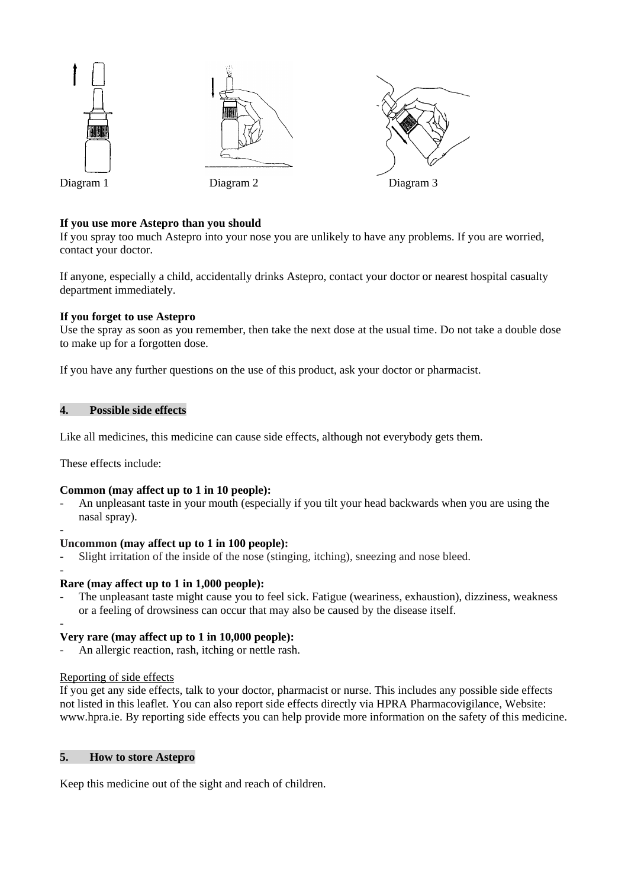

## **If you use more Astepro than you should**

If you spray too much Astepro into your nose you are unlikely to have any problems. If you are worried, contact your doctor.

If anyone, especially a child, accidentally drinks Astepro, contact your doctor or nearest hospital casualty department immediately.

### **If you forget to use Astepro**

Use the spray as soon as you remember, then take the next dose at the usual time. Do not take a double dose to make up for a forgotten dose.

If you have any further questions on the use of this product, ask your doctor or pharmacist.

# **4. Possible side effects**

Like all medicines, this medicine can cause side effects, although not everybody gets them.

These effects include:

-

-

# **Common (may affect up to 1 in 10 people):**

- An unpleasant taste in your mouth (especially if you tilt your head backwards when you are using the nasal spray).

### **Uncommon (may affect up to 1 in 100 people):**

- Slight irritation of the inside of the nose (stinging, itching), sneezing and nose bleed.

### **Rare (may affect up to 1 in 1,000 people):**

The unpleasant taste might cause you to feel sick. Fatigue (weariness, exhaustion), dizziness, weakness or a feeling of drowsiness can occur that may also be caused by the disease itself.

#### - **Very rare (may affect up to 1 in 10,000 people):**

An allergic reaction, rash, itching or nettle rash.

### Reporting of side effects

If you get any side effects, talk to your doctor, pharmacist or nurse. This includes any possible side effects not listed in this leaflet. You can also report side effects directly via HPRA Pharmacovigilance, Website: www.hpra.ie. By reporting side effects you can help provide more information on the safety of this medicine.

## **5. How to store Astepro**

Keep this medicine out of the sight and reach of children.